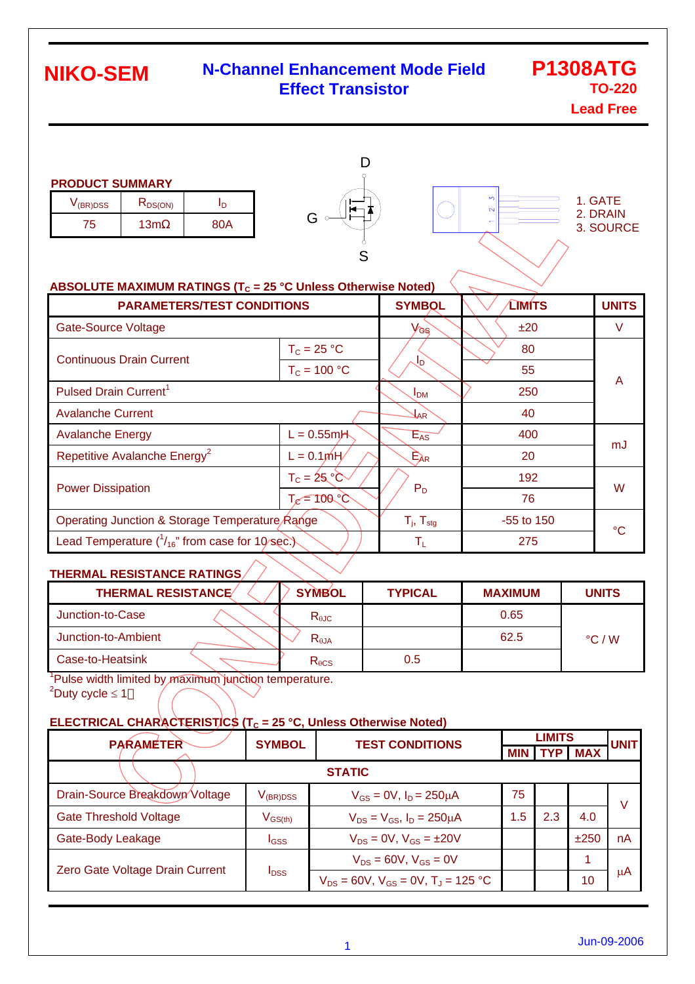### **N-Channel Enhancement Mode Field Effect Transistor**

**P1308ATG TO-220**

**Lead Free**

| <b>PRODUCT SUMMARY</b> |  |
|------------------------|--|
|                        |  |

| V(BR)DSS | K <sub>DS(ON)</sub> |     |  |
|----------|---------------------|-----|--|
| Ο        | ' 3m                | 80A |  |





#### **ABSOLUTE MAXIMUM RATINGS (T<sub>c</sub> = 25 °C Unless Otherwise Noted)**

| <b>PARAMETERS/TEST CONDITIONS</b>                       | <b>SYMBOL</b>               | <b>TIMITS</b>         | <b>UNITS</b>    |        |  |
|---------------------------------------------------------|-----------------------------|-----------------------|-----------------|--------|--|
| <b>Gate-Source Voltage</b>                              |                             | Vas                   | ±20             | $\vee$ |  |
| <b>Continuous Drain Current</b>                         | $T_c = 25 °C$               |                       | 80              |        |  |
|                                                         | $T_c = 100 °C$              | JD                    | 55              | A      |  |
| Pulsed Drain Current <sup>1</sup>                       |                             | <b>I<sub>DM</sub></b> | 250             |        |  |
| <b>Avalanche Current</b>                                | $\mathcal{H}^{\mathcal{B}}$ | 40                    |                 |        |  |
| <b>Avalanche Energy</b><br>$L = 0.55$ m $H$             |                             | $E_{AS}$              | 400             | mJ     |  |
| Repetitive Avalanche Energy <sup>2</sup><br>$L = 0.1mH$ |                             | $E_{AR}$              | 20              |        |  |
| $T_c = 25^\circ \text{C}$                               |                             |                       | 192             | W      |  |
| <b>Power Dissipation</b>                                | $T_{e} = 100 °C$            | $P_D$                 | 76              |        |  |
| Operating Junction & Storage Temperature Range          | $T_i$ , $T_{\text{stg}}$    | $-55$ to 150          | $\rm ^{\circ}C$ |        |  |
| Lead Temperature $(^{1}_{16}$ " from case for 10/sec.)  | $\mathsf{T}_\mathsf{L}$     | 275                   |                 |        |  |

### **THERMAL RESISTANCE RATINGS**

| <b>THERMAL RESISTANCE</b> | <b>SYMBOL</b>   | <b>TYPICAL</b> | <b>MAXIMUM</b> | <b>UNITS</b>    |
|---------------------------|-----------------|----------------|----------------|-----------------|
| Junction-to-Case          | $R_{\theta$ JC  |                | 0.65           |                 |
| Junction-to-Ambient       | $R_{\theta$ JA  |                | 62.5           | $\degree$ C / W |
| Case-to-Heatsink          | $R_{\theta CS}$ | 0.5            |                |                 |

<sup>1</sup>Pulse width limited by maximum junction temperature.  $2^2$ Duty cycle  $\leq 1$ 

#### **ELECTRICAL CHARACTERISTICS (T<sub>C</sub> = 25 °C, Unless Otherwise Noted)**

| <b>PARAMETER</b>                | <b>SYMBOL</b>    | <b>TEST CONDITIONS</b>                                 |            | <b>LIMITS</b> |            |             |
|---------------------------------|------------------|--------------------------------------------------------|------------|---------------|------------|-------------|
|                                 |                  |                                                        | <b>MIN</b> |               | <b>MAX</b> | <b>UNIT</b> |
| <b>STATIC</b>                   |                  |                                                        |            |               |            |             |
| Drain-Source Breakdown Voltage  | $V_{\rm(BR)DSS}$ | $V_{GS} = 0V$ , $I_D = 250 \mu A$                      | 75         |               |            | v           |
| <b>Gate Threshold Voltage</b>   | $V_{GS(th)}$     | $V_{DS} = V_{GS}$ , $I_D = 250 \mu A$                  | 1.5        | 2.3           | 4.0        |             |
| Gate-Body Leakage               | <b>I</b> GSS     | $V_{DS} = 0V$ , $V_{GS} = \pm 20V$                     |            |               | ±250       | nA          |
| Zero Gate Voltage Drain Current | $I_{\text{DSS}}$ | $V_{DS} = 60V$ , $V_{GS} = 0V$                         |            |               | и          |             |
|                                 |                  | $V_{DS}$ = 60V, $V_{GS}$ = 0V, T <sub>J</sub> = 125 °C |            |               | 10         | μA          |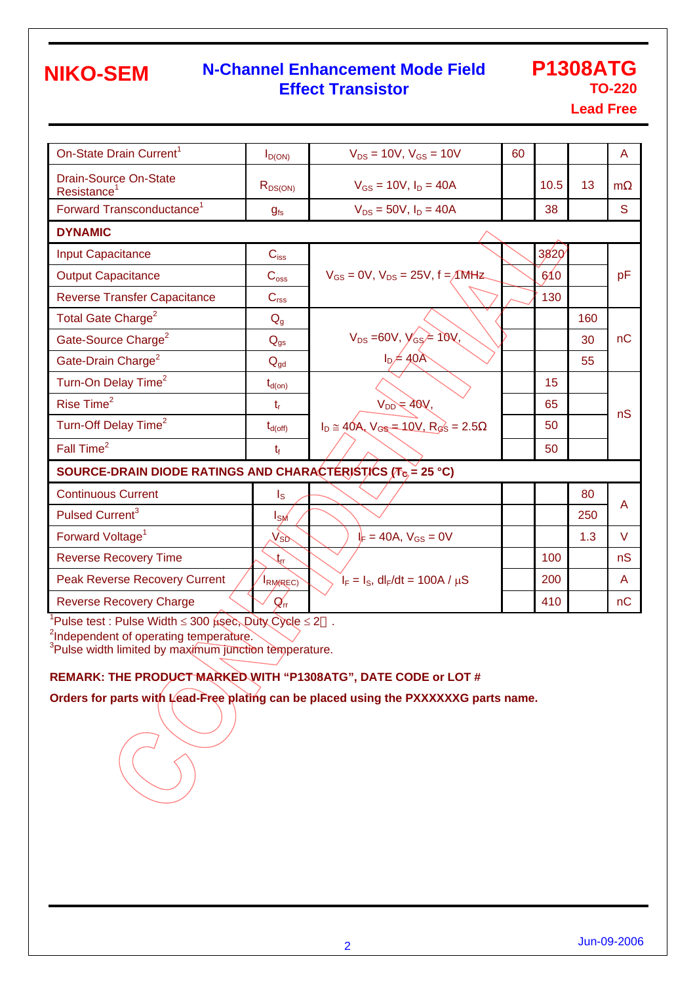### **N-Channel Enhancement Mode Field Effect Transistor**

# **P1308ATG TO-220**

**Lead Free**

| On-State Drain Current <sup>1</sup>                                                             | $I_{D(ON)}$                 | $V_{DS} = 10V$ , $V_{GS} = 10V$                    | 60 |      |     | A      |  |  |
|-------------------------------------------------------------------------------------------------|-----------------------------|----------------------------------------------------|----|------|-----|--------|--|--|
| <b>Drain-Source On-State</b><br>Resistance <sup>1</sup>                                         | $R_{DS(ON)}$                | $V_{GS} = 10V$ , $I_D = 40A$                       |    | 10.5 | 13  | m      |  |  |
| Forward Transconductance <sup>1</sup>                                                           | $g_{fs}$                    | $V_{DS} = 50V$ , $I_D = 40A$                       |    | 38   |     | S      |  |  |
| <b>DYNAMIC</b>                                                                                  |                             |                                                    |    |      |     |        |  |  |
| <b>Input Capacitance</b>                                                                        | $C_{iss}$                   |                                                    |    | 3820 |     |        |  |  |
| <b>Output Capacitance</b>                                                                       | C <sub>oss</sub>            | $V_{GS} = 0V$ , $V_{DS} = 25V$ , $f = \sqrt{M}Hz$  |    | 610  |     | pF     |  |  |
| <b>Reverse Transfer Capacitance</b>                                                             | C <sub>rss</sub>            |                                                    |    | 130  |     |        |  |  |
| Total Gate Charge <sup>2</sup>                                                                  | $Q_q$                       |                                                    |    |      | 160 |        |  |  |
| Gate-Source Charge <sup>2</sup>                                                                 | $Q_{gs}$                    | $V_{DS} = 60V, V_{GS} = 10V,$<br>$I_D = 40A$       |    |      | 30  | nC     |  |  |
| Gate-Drain Charge <sup>2</sup>                                                                  | $Q_{qd}$                    |                                                    |    |      | 55  |        |  |  |
| Turn-On Delay Time <sup>2</sup>                                                                 | $t_{d(on)}$                 |                                                    |    | 15   |     |        |  |  |
| Rise Time <sup>2</sup>                                                                          | $t_{r}$                     | $V_{DD} = 40V,$                                    |    | 65   |     |        |  |  |
| Turn-Off Delay Time <sup>2</sup>                                                                | $t_{d(\text{off})}$         | $I_D \cong 40A$ , $V_{GS} = 10V$ , $R_{GS} = 2.5$  |    | 50   |     | nS     |  |  |
| Fall Time <sup>2</sup>                                                                          | $t_{f}$                     |                                                    |    | 50   |     |        |  |  |
| SOURCE-DRAIN DIODE RATINGS AND CHARACTERISTICS ( $T_{\text{c}} = 25 \text{ }^{\circ}\text{C}$ ) |                             |                                                    |    |      |     |        |  |  |
| <b>Continuous Current</b>                                                                       | $\mathsf{I}_\mathsf{S}$     |                                                    |    |      | 80  |        |  |  |
| Pulsed Current <sup>3</sup>                                                                     | $I_{SM}$                    |                                                    |    |      | 250 | A      |  |  |
| Forward Voltage <sup>1</sup>                                                                    | $V_{SD}$                    | $I_F = 40A$ , $V_{GS} = 0V$                        |    |      | 1.3 | $\vee$ |  |  |
| <b>Reverse Recovery Time</b>                                                                    | $\mathfrak{t}_{\mathsf{r}}$ |                                                    |    | 100  |     | nS     |  |  |
| <b>Peak Reverse Recovery Current</b>                                                            | RM(REC)                     | $I_F = I_S$ , dl <sub>F</sub> /dt = 100A / $\mu$ S |    | 200  |     | A      |  |  |
| <b>Reverse Recovery Charge</b>                                                                  | $Q_{\text{rr}}$             |                                                    |    | 410  |     | nC     |  |  |

<sup>1</sup>Pulse test : Pulse Width ≤ 300  $\mu$ sec, Duty Cycle ≤ 2 .

<sup>2</sup>Independent of operating temperature.<br><sup>3</sup>Pulse width limited by maximum junction temperature.

#### **REMARK: THE PRODUCT MARKED WITH "P1308ATG", DATE CODE or LOT #**

**Orders for parts with Lead-Free plating can be placed using the PXXXXXXG parts name.**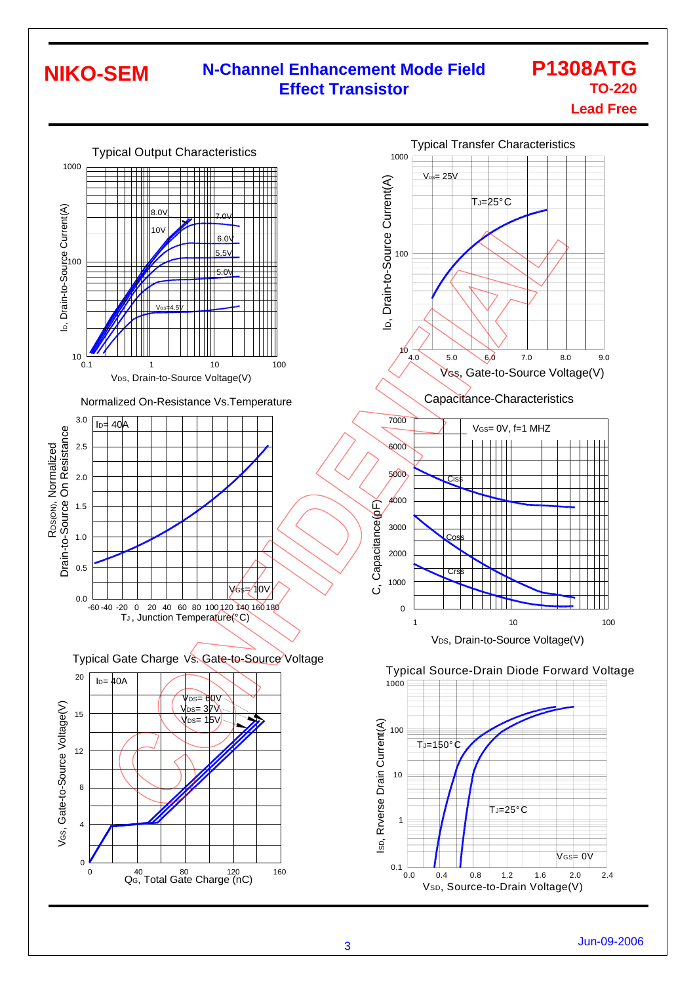## **N-Channel Enhancement Mode Field Effect Transistor**

### **P1308ATG TO-220 Lead Free**

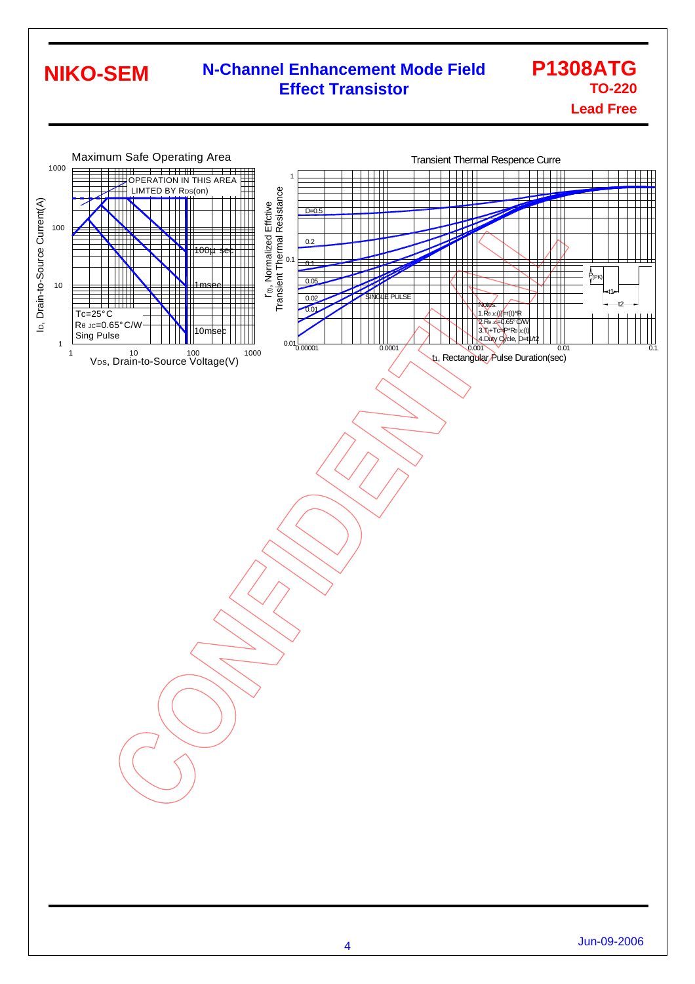#### **N-Channel Enhancement Mode Field Effect Transistor P1308ATG TO-220 NIKO-SEM**

**Lead Free**